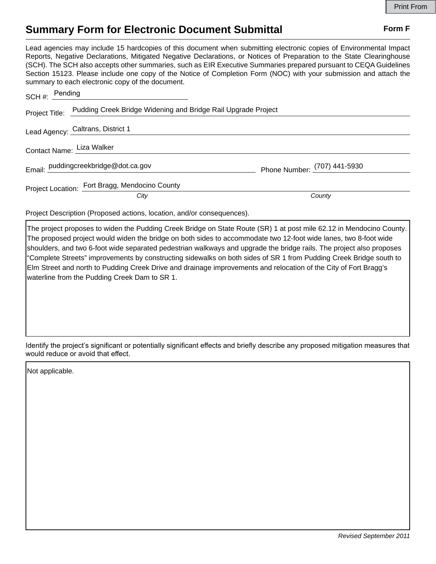## **Summary Form for Electronic Document Submittal Form F Form F**

Lead agencies may include 15 hardcopies of this document when submitting electronic copies of Environmental Impact Reports, Negative Declarations, Mitigated Negative Declarations, or Notices of Preparation to the State Clearinghouse (SCH). The SCH also accepts other summaries, such as EIR Executive Summaries prepared pursuant to CEQA Guidelines Section 15123. Please include one copy of the Notice of Completion Form (NOC) with your submission and attach the summary to each electronic copy of the document.

| SCH #: Pending                                                               |                              |
|------------------------------------------------------------------------------|------------------------------|
| Project Title: Pudding Creek Bridge Widening and Bridge Rail Upgrade Project |                              |
| Lead Agency: Caltrans, District 1                                            |                              |
| Contact Name: Liza Walker                                                    |                              |
| Email: puddingcreekbridge@dot.ca.gov                                         | Phone Number: (707) 441-5930 |
| Project Location: Fort Bragg, Mendocino County<br>City                       | County                       |

Project Description (Proposed actions, location, and/or consequences).

The project proposes to widen the Pudding Creek Bridge on State Route (SR) 1 at post mile 62.12 in Mendocino County. The proposed project would widen the bridge on both sides to accommodate two 12-foot wide lanes, two 8-foot wide shoulders, and two 6-foot wide separated pedestrian walkways and upgrade the bridge rails. The project also proposes "Complete Streets" improvements by constructing sidewalks on both sides of SR 1 from Pudding Creek Bridge south to Elm Street and north to Pudding Creek Drive and drainage improvements and relocation of the City of Fort Bragg's waterline from the Pudding Creek Dam to SR 1.

Identify the project's significant or potentially significant effects and briefly describe any proposed mitigation measures that would reduce or avoid that effect.

Not applicable.